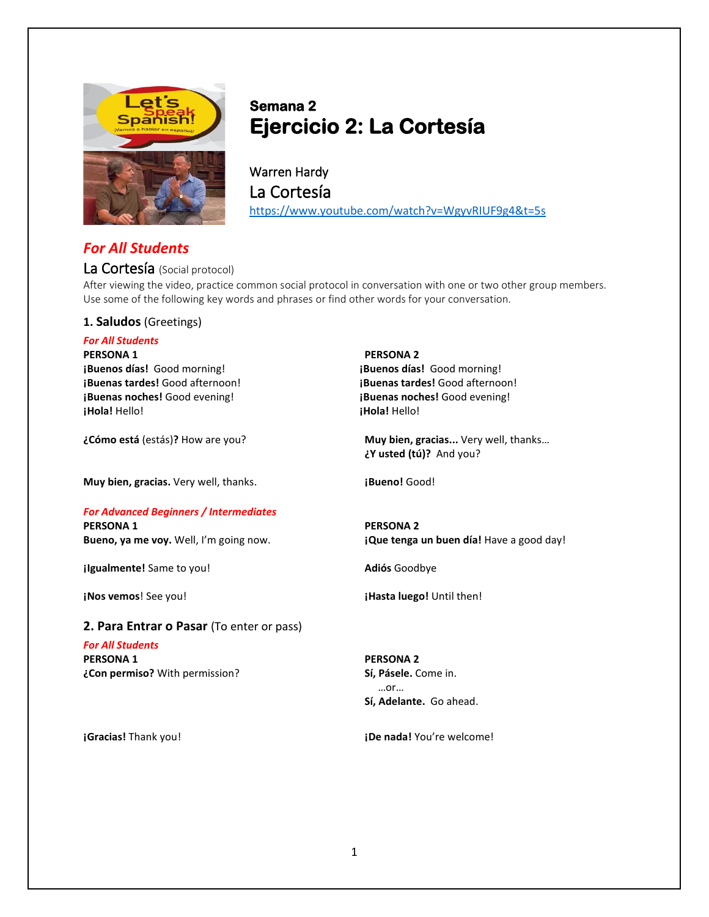

# **Semana 2 Ejercicio 2: La Cortesía**

Warren Hardy La Cortesía <https://www.youtube.com/watch?v=WgyvRIUF9g4&t=5s>

# *For All Students*

# La Cortesía (Social protocol)

After viewing the video, practice common social protocol in conversation with one or two other group members. Use some of the following key words and phrases or find other words for your conversation.

### **1. Saludos** (Greetings)

# *For All Students*

**PERSONA 1 PERSONA 2 ¡Buenos días!** Good morning! **¡Buenos días!** Good morning! **¡Buenas noches!** Good evening! **¡Buenas noches!** Good evening! **¡Hola!** Hello! **¡Hola!** Hello!

**Muy bien, gracias.** Very well, thanks. **The interval is a property Good!** 

## *For Advanced Beginners / Intermediates*

**PERSONA 1 PERSONA 2**

**¡Igualmente!** Same to you! **Adiós** Goodbye

## **2. Para Entrar o Pasar** (To enter or pass)

*For All Students* **PERSONA 1 PERSONA 2 ¿Con permiso?** With permission? **Sí, Pásele.** Come in.

**¡Buenas tardes!** Good afternoon! **¡Buenas tardes!** Good afternoon!

**¿Cómo está** (estás)**?** How are you? **Muy bien, gracias...** Very well, thanks… **¿Y usted (tú)?** And you?

**Bueno, ya me voy.** Well, I'm going now. **¡Que tenga un buen día!** Have a good day!

**iNos vemos!** See you! **The set of the set of the set of the set of the set of the set of the set of the set of the set of the set of the set of the set of the set of the set of the set of the set of the set of the set of** 

# …or… **Sí, Adelante.** Go ahead.

**¡Gracias!** Thank you! **¡De nada!** You're welcome!